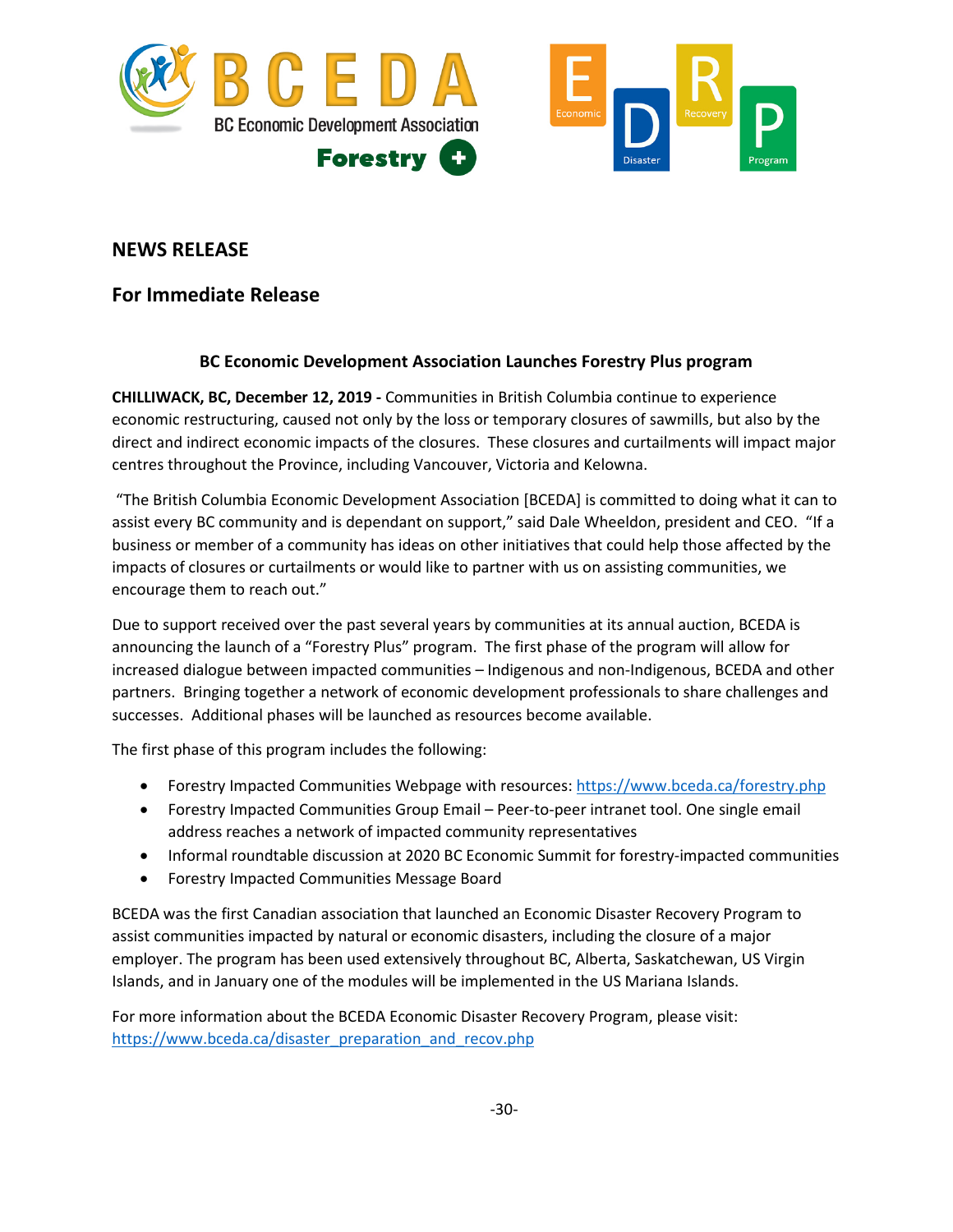

# **NEWS RELEASE**

# **For Immediate Release**

### **BC Economic Development Association Launches Forestry Plus program**

**CHILLIWACK, BC, December 12, 2019 -** Communities in British Columbia continue to experience economic restructuring, caused not only by the loss or temporary closures of sawmills, but also by the direct and indirect economic impacts of the closures. These closures and curtailments will impact major centres throughout the Province, including Vancouver, Victoria and Kelowna.

"The British Columbia Economic Development Association [BCEDA] is committed to doing what it can to assist every BC community and is dependant on support," said Dale Wheeldon, president and CEO. "If a business or member of a community has ideas on other initiatives that could help those affected by the impacts of closures or curtailments or would like to partner with us on assisting communities, we encourage them to reach out."

Due to support received over the past several years by communities at its annual auction, BCEDA is announcing the launch of a "Forestry Plus" program. The first phase of the program will allow for increased dialogue between impacted communities – Indigenous and non-Indigenous, BCEDA and other partners. Bringing together a network of economic development professionals to share challenges and successes. Additional phases will be launched as resources become available.

The first phase of this program includes the following:

- Forestry Impacted Communities Webpage with resources:<https://www.bceda.ca/forestry.php>
- Forestry Impacted Communities Group Email Peer-to-peer intranet tool. One single email address reaches a network of impacted community representatives
- Informal roundtable discussion at 2020 BC Economic Summit for forestry-impacted communities
- Forestry Impacted Communities Message Board

BCEDA was the first Canadian association that launched an Economic Disaster Recovery Program to assist communities impacted by natural or economic disasters, including the closure of a major employer. The program has been used extensively throughout BC, Alberta, Saskatchewan, US Virgin Islands, and in January one of the modules will be implemented in the US Mariana Islands.

For more information about the BCEDA Economic Disaster Recovery Program, please visit: [https://www.bceda.ca/disaster\\_preparation\\_and\\_recov.php](https://www.bceda.ca/disaster_preparation_and_recov.php)